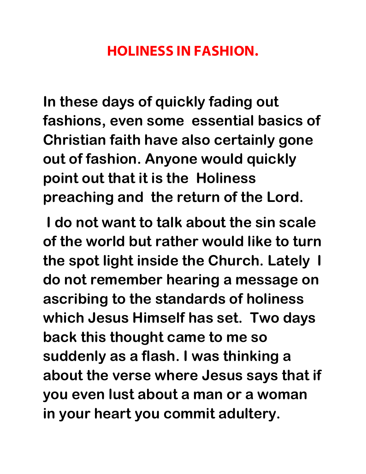## HOLINESS IN FASHION.

**In these days of quickly fading out fashions, even some essential basics of Christian faith have also certainly gone out of fashion. Anyone would quickly point out that it is the Holiness preaching and the return of the Lord.** 

 **I do not want to talk about the sin scale of the world but rather would like to turn the spot light inside the Church. Lately I do not remember hearing a message on ascribing to the standards of holiness which Jesus Himself has set. Two days back this thought came to me so suddenly as a flash. I was thinking a about the verse where Jesus says that if you even lust about a man or a woman in your heart you commit adultery.**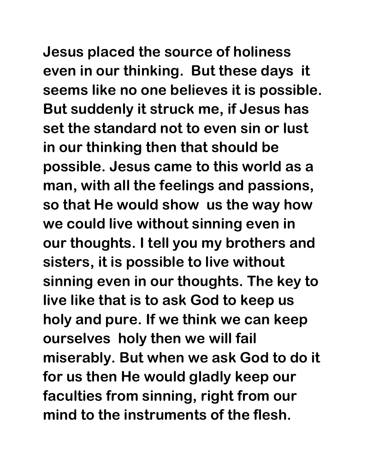**Jesus placed the source of holiness even in our thinking. But these days it seems like no one believes it is possible. But suddenly it struck me, if Jesus has set the standard not to even sin or lust in our thinking then that should be possible. Jesus came to this world as a man, with all the feelings and passions, so that He would show us the way how we could live without sinning even in our thoughts. I tell you my brothers and sisters, it is possible to live without sinning even in our thoughts. The key to live like that is to ask God to keep us holy and pure. If we think we can keep ourselves holy then we will fail miserably. But when we ask God to do it for us then He would gladly keep our faculties from sinning, right from our mind to the instruments of the flesh.**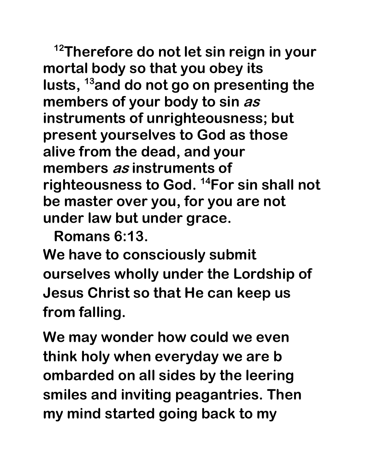**<sup>12</sup>Therefore do not let sin reign in your mortal body so that you obey its lusts, <sup>13</sup>and do not go on presenting the members of your body to sin as instruments of unrighteousness; but present yourselves to God as those alive from the dead, and your members as instruments of righteousness to God. <sup>14</sup>For sin shall not be master over you, for you are not under law but under grace.** 

**Romans 6:13.** 

**We have to consciously submit ourselves wholly under the Lordship of Jesus Christ so that He can keep us from falling.** 

**We may wonder how could we even think holy when everyday we are b ombarded on all sides by the leering smiles and inviting peagantries. Then my mind started going back to my**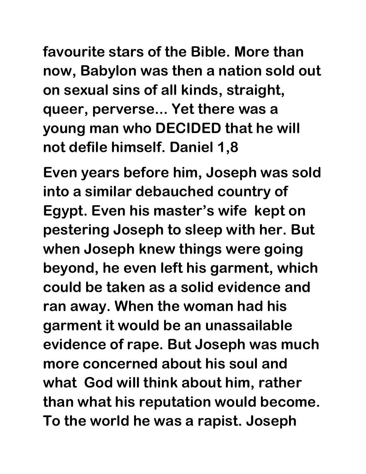**favourite stars of the Bible. More than now, Babylon was then a nation sold out on sexual sins of all kinds, straight, queer, perverse... Yet there was a young man who DECIDED that he will not defile himself. Daniel 1,8** 

**Even years before him, Joseph was sold into a similar debauched country of Egypt. Even his master's wife kept on pestering Joseph to sleep with her. But when Joseph knew things were going beyond, he even left his garment, which could be taken as a solid evidence and ran away. When the woman had his garment it would be an unassailable evidence of rape. But Joseph was much more concerned about his soul and what God will think about him, rather than what his reputation would become. To the world he was a rapist. Joseph**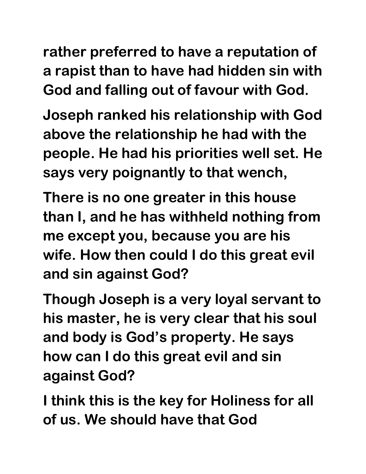**rather preferred to have a reputation of a rapist than to have had hidden sin with God and falling out of favour with God.** 

**Joseph ranked his relationship with God above the relationship he had with the people. He had his priorities well set. He says very poignantly to that wench,** 

**There is no one greater in this house than I, and he has withheld nothing from me except you, because you are his wife. How then could I do this great evil and sin against God?** 

**Though Joseph is a very loyal servant to his master, he is very clear that his soul and body is God's property. He says how can I do this great evil and sin against God?** 

**I think this is the key for Holiness for all of us. We should have that God**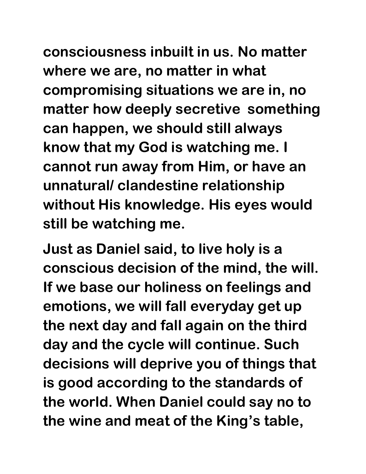**consciousness inbuilt in us. No matter where we are, no matter in what compromising situations we are in, no matter how deeply secretive something can happen, we should still always know that my God is watching me. I cannot run away from Him, or have an unnatural/ clandestine relationship without His knowledge. His eyes would still be watching me.** 

**Just as Daniel said, to live holy is a conscious decision of the mind, the will. If we base our holiness on feelings and emotions, we will fall everyday get up the next day and fall again on the third day and the cycle will continue. Such decisions will deprive you of things that is good according to the standards of the world. When Daniel could say no to the wine and meat of the King's table,**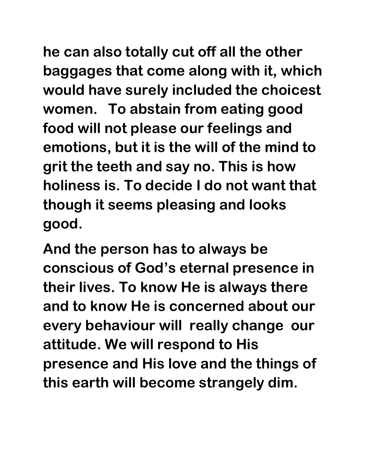**he can also totally cut off all the other baggages that come along with it, which would have surely included the choicest women. To abstain from eating good food will not please our feelings and emotions, but it is the will of the mind to grit the teeth and say no. This is how holiness is. To decide I do not want that though it seems pleasing and looks good.** 

**And the person has to always be conscious of God's eternal presence in their lives. To know He is always there and to know He is concerned about our every behaviour will really change our attitude. We will respond to His presence and His love and the things of this earth will become strangely dim.**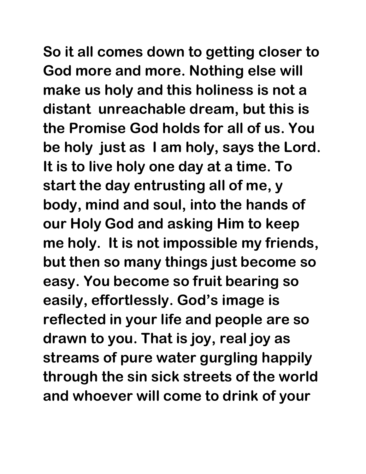**So it all comes down to getting closer to God more and more. Nothing else will make us holy and this holiness is not a distant unreachable dream, but this is the Promise God holds for all of us. You be holy just as I am holy, says the Lord. It is to live holy one day at a time. To start the day entrusting all of me, y body, mind and soul, into the hands of our Holy God and asking Him to keep me holy. It is not impossible my friends, but then so many things just become so easy. You become so fruit bearing so easily, effortlessly. God's image is reflected in your life and people are so drawn to you. That is joy, real joy as streams of pure water gurgling happily through the sin sick streets of the world and whoever will come to drink of your**